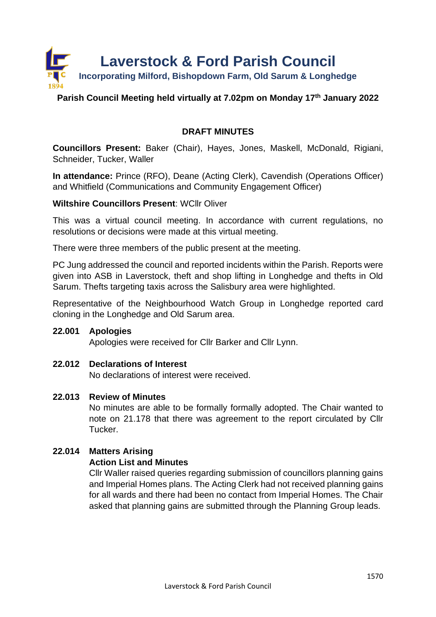

# **Parish Council Meeting held virtually at 7.02pm on Monday 17th January 2022**

# **DRAFT MINUTES**

**Councillors Present:** Baker (Chair), Hayes, Jones, Maskell, McDonald, Rigiani, Schneider, Tucker, Waller

**In attendance:** Prince (RFO), Deane (Acting Clerk), Cavendish (Operations Officer) and Whitfield (Communications and Community Engagement Officer)

# **Wiltshire Councillors Present**: WCllr Oliver

This was a virtual council meeting. In accordance with current regulations, no resolutions or decisions were made at this virtual meeting.

There were three members of the public present at the meeting.

PC Jung addressed the council and reported incidents within the Parish. Reports were given into ASB in Laverstock, theft and shop lifting in Longhedge and thefts in Old Sarum. Thefts targeting taxis across the Salisbury area were highlighted.

Representative of the Neighbourhood Watch Group in Longhedge reported card cloning in the Longhedge and Old Sarum area.

# **22.001 Apologies**

Apologies were received for Cllr Barker and Cllr Lynn.

# **22.012 Declarations of Interest**

No declarations of interest were received.

# **22.013 Review of Minutes**

No minutes are able to be formally formally adopted. The Chair wanted to note on 21.178 that there was agreement to the report circulated by Cllr Tucker.

# **22.014 Matters Arising**

# **Action List and Minutes**

Cllr Waller raised queries regarding submission of councillors planning gains and Imperial Homes plans. The Acting Clerk had not received planning gains for all wards and there had been no contact from Imperial Homes. The Chair asked that planning gains are submitted through the Planning Group leads.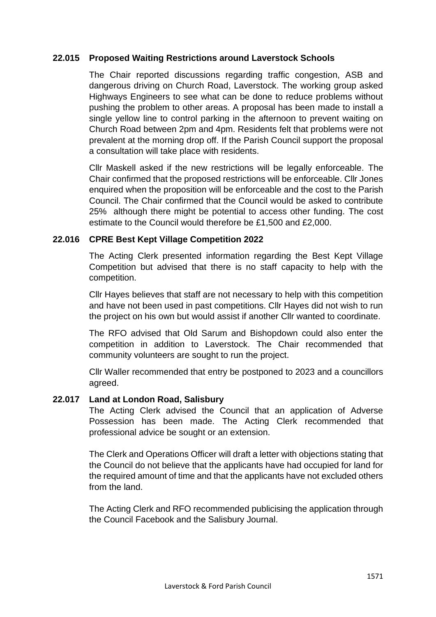# **22.015 Proposed Waiting Restrictions around Laverstock Schools**

The Chair reported discussions regarding traffic congestion, ASB and dangerous driving on Church Road, Laverstock. The working group asked Highways Engineers to see what can be done to reduce problems without pushing the problem to other areas. A proposal has been made to install a single yellow line to control parking in the afternoon to prevent waiting on Church Road between 2pm and 4pm. Residents felt that problems were not prevalent at the morning drop off. If the Parish Council support the proposal a consultation will take place with residents.

Cllr Maskell asked if the new restrictions will be legally enforceable. The Chair confirmed that the proposed restrictions will be enforceable. Cllr Jones enquired when the proposition will be enforceable and the cost to the Parish Council. The Chair confirmed that the Council would be asked to contribute 25% although there might be potential to access other funding. The cost estimate to the Council would therefore be £1,500 and £2,000.

#### **22.016 CPRE Best Kept Village Competition 2022**

The Acting Clerk presented information regarding the Best Kept Village Competition but advised that there is no staff capacity to help with the competition.

Cllr Hayes believes that staff are not necessary to help with this competition and have not been used in past competitions. Cllr Hayes did not wish to run the project on his own but would assist if another Cllr wanted to coordinate.

The RFO advised that Old Sarum and Bishopdown could also enter the competition in addition to Laverstock. The Chair recommended that community volunteers are sought to run the project.

Cllr Waller recommended that entry be postponed to 2023 and a councillors agreed.

#### **22.017 Land at London Road, Salisbury**

The Acting Clerk advised the Council that an application of Adverse Possession has been made. The Acting Clerk recommended that professional advice be sought or an extension.

The Clerk and Operations Officer will draft a letter with objections stating that the Council do not believe that the applicants have had occupied for land for the required amount of time and that the applicants have not excluded others from the land.

The Acting Clerk and RFO recommended publicising the application through the Council Facebook and the Salisbury Journal.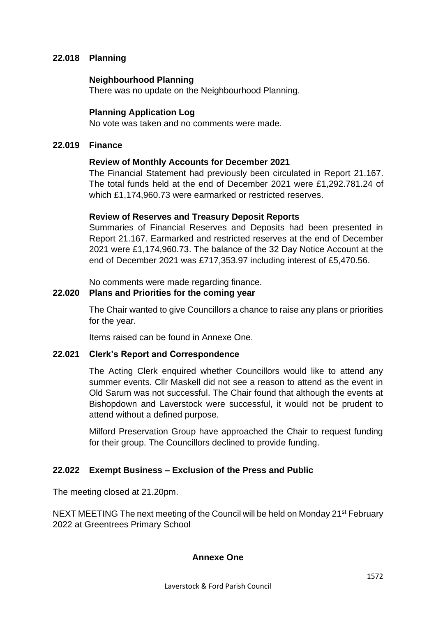# **22.018 Planning**

#### **Neighbourhood Planning**

There was no update on the Neighbourhood Planning.

# **Planning Application Log**

No vote was taken and no comments were made.

### **22.019 Finance**

#### **Review of Monthly Accounts for December 2021**

The Financial Statement had previously been circulated in Report 21.167. The total funds held at the end of December 2021 were £1,292.781.24 of which £1,174,960.73 were earmarked or restricted reserves.

#### **Review of Reserves and Treasury Deposit Reports**

Summaries of Financial Reserves and Deposits had been presented in Report 21.167. Earmarked and restricted reserves at the end of December 2021 were £1,174,960.73. The balance of the 32 Day Notice Account at the end of December 2021 was £717,353.97 including interest of £5,470.56.

No comments were made regarding finance.

### **22.020 Plans and Priorities for the coming year**

The Chair wanted to give Councillors a chance to raise any plans or priorities for the year.

Items raised can be found in Annexe One.

# **22.021 Clerk's Report and Correspondence**

The Acting Clerk enquired whether Councillors would like to attend any summer events. Cllr Maskell did not see a reason to attend as the event in Old Sarum was not successful. The Chair found that although the events at Bishopdown and Laverstock were successful, it would not be prudent to attend without a defined purpose.

Milford Preservation Group have approached the Chair to request funding for their group. The Councillors declined to provide funding.

# **22.022 Exempt Business – Exclusion of the Press and Public**

The meeting closed at 21.20pm.

NEXT MEETING The next meeting of the Council will be held on Monday 21<sup>st</sup> February 2022 at Greentrees Primary School

# **Annexe One**